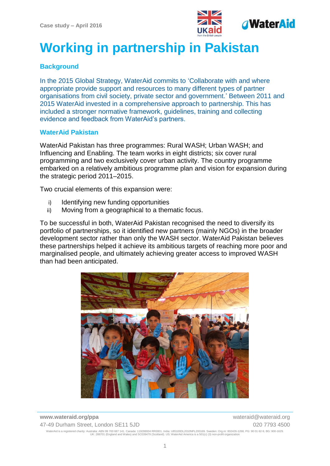

# **Working in partnership in Pakistan**

## **Background**

In the 2015 Global Strategy, WaterAid commits to 'Collaborate with and where appropriate provide support and resources to many different types of partner organisations from civil society, private sector and government.' Between 2011 and 2015 WaterAid invested in a comprehensive approach to partnership. This has included a stronger normative framework, guidelines, training and collecting evidence and feedback from WaterAid's partners.

### **WaterAid Pakistan**

WaterAid Pakistan has three programmes: Rural WASH; Urban WASH; and Influencing and Enabling. The team works in eight districts; six cover rural programming and two exclusively cover urban activity. The country programme embarked on a relatively ambitious programme plan and vision for expansion during the strategic period 2011–2015.

Two crucial elements of this expansion were:

- i) Identifying new funding opportunities
- ii) Moving from a geographical to a thematic focus.

To be successful in both, WaterAid Pakistan recognised the need to diversify its portfolio of partnerships, so it identified new partners (mainly NGOs) in the broader development sector rather than only the WASH sector. WaterAid Pakistan believes these partnerships helped it achieve its ambitious targets of reaching more poor and marginalised people, and ultimately achieving greater access to improved WASH than had been anticipated.



**www.wateraid.org/ppa** wateraid@wateraid.org 47-49 Durham Street, London SE11 5JD 020 7793 4500 WaterAid is a registered charity: Australia: ABN 99 700 687 141. Canada: 119288934 RR0001. India: U85100DL2010NPL200169. Sweden: Org.nr: 802426-1268, PG: 90 01 62-9, BG: 900-1629.<br>UK: 288701 (England and Wales) and SC0394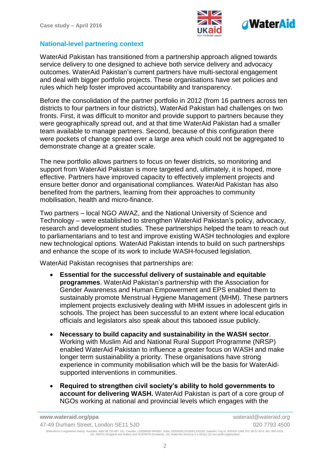

### **National-level partnering context**

WaterAid Pakistan has transitioned from a partnership approach aligned towards service delivery to one designed to achieve both service delivery and advocacy outcomes. WaterAid Pakistan's current partners have multi-sectoral engagement and deal with bigger portfolio projects. These organisations have set policies and rules which help foster improved accountability and transparency.

Before the consolidation of the partner portfolio in 2012 (from 16 partners across ten districts to four partners in four districts), WaterAid Pakistan had challenges on two fronts. First, it was difficult to monitor and provide support to partners because they were geographically spread out, and at that time WaterAid Pakistan had a smaller team available to manage partners. Second, because of this configuration there were pockets of change spread over a large area which could not be aggregated to demonstrate change at a greater scale.

The new portfolio allows partners to focus on fewer districts, so monitoring and support from WaterAid Pakistan is more targeted and, ultimately, it is hoped, more effective. Partners have improved capacity to effectively implement projects and ensure better donor and organisational compliances. WaterAid Pakistan has also benefited from the partners, learning from their approaches to community mobilisation, health and micro-finance.

Two partners – local NGO AWAZ, and the National University of Science and Technology – were established to strengthen WaterAid Pakistan's policy, advocacy, research and development studies. These partnerships helped the team to reach out to parliamentarians and to test and improve existing WASH technologies and explore new technological options. WaterAid Pakistan intends to build on such partnerships and enhance the scope of its work to include WASH-focused legislation.

WaterAid Pakistan recognises that partnerships are:

- **Essential for the successful delivery of sustainable and equitable programmes**. WaterAid Pakistan's partnership with the Association for Gender Awareness and Human Empowerment and EPS enabled them to sustainably promote Menstrual Hygiene Management (MHM). These partners implement projects exclusively dealing with MHM issues in adolescent girls in schools. The project has been successful to an extent where local education officials and legislators also speak about this tabooed issue publicly.
- **Necessary to build capacity and sustainability in the WASH sector**. Working with Muslim Aid and National Rural Support Programme (NRSP) enabled WaterAid Pakistan to influence a greater focus on WASH and make longer term sustainability a priority. These organisations have strong experience in community mobilisation which will be the basis for WaterAidsupported interventions in communities.
- **Required to strengthen civil society's ability to hold governments to account for delivering WASH.** WaterAid Pakistan is part of a core group of NGOs working at national and provincial levels which engages with the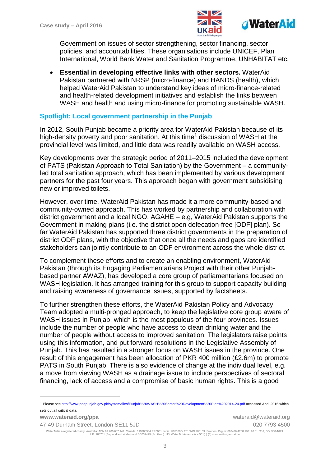1



Government on issues of sector strengthening, sector financing, sector policies, and accountabilities. These organisations include UNICEF, Plan International, World Bank Water and Sanitation Programme, UNHABITAT etc.

 **Essential in developing effective links with other sectors.** WaterAid Pakistan partnered with NRSP (micro-finance) and HANDS (health), which helped WaterAid Pakistan to understand key ideas of micro-finance-related and health-related development initiatives and establish the links between WASH and health and using micro-finance for promoting sustainable WASH.

### **Spotlight: Local government partnership in the Punjab**

In 2012, South Punjab became a priority area for WaterAid Pakistan because of its high-density poverty and poor sanitation. At this time<sup>1</sup> discussion of WASH at the provincial level was limited, and little data was readily available on WASH access.

Key developments over the strategic period of 2011–2015 included the development of PATS (Pakistan Approach to Total Sanitation) by the Government – a communityled total sanitation approach, which has been implemented by various development partners for the past four years. This approach began with government subsidising new or improved toilets.

However, over time, WaterAid Pakistan has made it a more community-based and community-owned approach. This has worked by partnership and collaboration with district government and a local NGO, AGAHE – e.g, WaterAid Pakistan supports the Government in making plans (i.e. the district open defecation-free [ODF] plan). So far WaterAid Pakistan has supported three district governments in the preparation of district ODF plans, with the objective that once all the needs and gaps are identified stakeholders can jointly contribute to an ODF environment across the whole district.

To complement these efforts and to create an enabling environment, WaterAid Pakistan (through its Engaging Parliamentarians Project with their other Punjabbased partner AWAZ), has developed a core group of parliamentarians focused on WASH legislation. It has arranged training for this group to support capacity building and raising awareness of governance issues, supported by factsheets.

To further strengthen these efforts, the WaterAid Pakistan Policy and Advocacy Team adopted a multi-pronged approach, to keep the legislative core group aware of WASH issues in Punjab, which is the most populous of the four provinces. Issues include the number of people who have access to clean drinking water and the number of people without access to improved sanitation. The legislators raise points using this information, and put forward resolutions in the Legislative Assembly of Punjab. This has resulted in a stronger focus on WASH issues in the province. One result of this engagement has been allocation of PKR 400 million (£2.6m) to promote PATS in South Punjab. There is also evidence of change at the individual level, e.g. a move from viewing WASH as a drainage issue to include perspectives of sectoral financing, lack of access and a compromise of basic human rights. This is a good

<sup>1</sup> Please se[e http://www.pndpunjab.gov.pk/system/files/Punjab%20WASH%20Sector%20Development%20Plan%202014-24.pdf](http://www.pndpunjab.gov.pk/system/files/Punjab%20WASH%20Sector%20Development%20Plan%202014-24.pdf) accessed April 2016 which sets out all critical data.